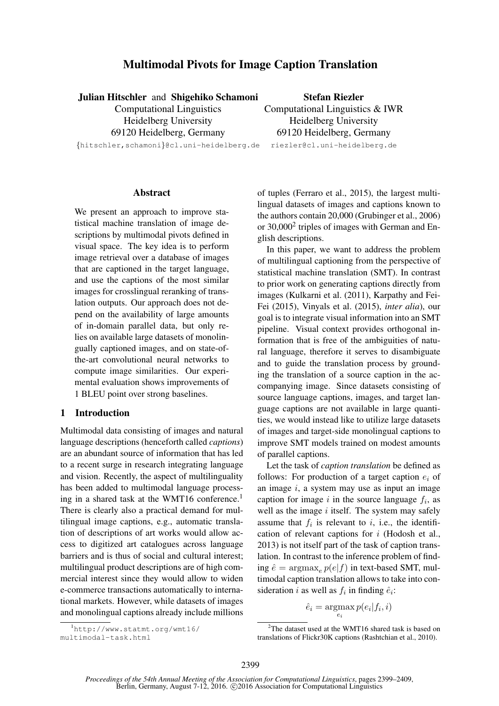# Multimodal Pivots for Image Caption Translation

| Julian Hitschler and Shigehiko Schamoni    | <b>Stefan Riezler</b>           |
|--------------------------------------------|---------------------------------|
| <b>Computational Linguistics</b>           | Computational Linguistics & IWR |
| Heidelberg University                      | Heidelberg University           |
| 69120 Heidelberg, Germany                  | 69120 Heidelberg, Germany       |
| {hitschler, schamoni}@cl.uni-heidelberg.de | riezler@cl.uni-heidelberg.de    |

### Abstract

We present an approach to improve statistical machine translation of image descriptions by multimodal pivots defined in visual space. The key idea is to perform image retrieval over a database of images that are captioned in the target language, and use the captions of the most similar images for crosslingual reranking of translation outputs. Our approach does not depend on the availability of large amounts of in-domain parallel data, but only relies on available large datasets of monolingually captioned images, and on state-ofthe-art convolutional neural networks to compute image similarities. Our experimental evaluation shows improvements of 1 BLEU point over strong baselines.

# 1 Introduction

Multimodal data consisting of images and natural language descriptions (henceforth called *captions*) are an abundant source of information that has led to a recent surge in research integrating language and vision. Recently, the aspect of multilinguality has been added to multimodal language processing in a shared task at the WMT16 conference.<sup>1</sup> There is clearly also a practical demand for multilingual image captions, e.g., automatic translation of descriptions of art works would allow access to digitized art catalogues across language barriers and is thus of social and cultural interest; multilingual product descriptions are of high commercial interest since they would allow to widen e-commerce transactions automatically to international markets. However, while datasets of images and monolingual captions already include millions

<sup>1</sup>http://www.statmt.org/wmt16/ multimodal-task.html

of tuples (Ferraro et al., 2015), the largest multilingual datasets of images and captions known to the authors contain 20,000 (Grubinger et al., 2006) or 30,000<sup>2</sup> triples of images with German and English descriptions.

In this paper, we want to address the problem of multilingual captioning from the perspective of statistical machine translation (SMT). In contrast to prior work on generating captions directly from images (Kulkarni et al. (2011), Karpathy and Fei-Fei (2015), Vinyals et al. (2015), *inter alia*), our goal is to integrate visual information into an SMT pipeline. Visual context provides orthogonal information that is free of the ambiguities of natural language, therefore it serves to disambiguate and to guide the translation process by grounding the translation of a source caption in the accompanying image. Since datasets consisting of source language captions, images, and target language captions are not available in large quantities, we would instead like to utilize large datasets of images and target-side monolingual captions to improve SMT models trained on modest amounts of parallel captions.

Let the task of *caption translation* be defined as follows: For production of a target caption  $e_i$  of an image  $i$ , a system may use as input an image caption for image  $i$  in the source language  $f_i$ , as well as the image  $i$  itself. The system may safely assume that  $f_i$  is relevant to i, i.e., the identification of relevant captions for  $i$  (Hodosh et al., 2013) is not itself part of the task of caption translation. In contrast to the inference problem of finding  $\hat{e} = \arg \max_e p(e|f)$  in text-based SMT, multimodal caption translation allows to take into consideration *i* as well as  $f_i$  in finding  $\hat{e}_i$ :

$$
\hat{e}_i = \operatorname*{argmax}_{e_i} p(e_i | f_i, i)
$$

<sup>&</sup>lt;sup>2</sup>The dataset used at the WMT16 shared task is based on translations of Flickr30K captions (Rashtchian et al., 2010).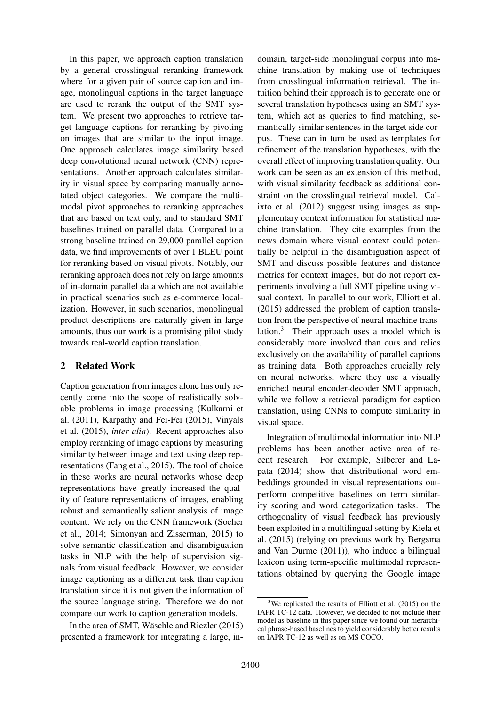In this paper, we approach caption translation by a general crosslingual reranking framework where for a given pair of source caption and image, monolingual captions in the target language are used to rerank the output of the SMT system. We present two approaches to retrieve target language captions for reranking by pivoting on images that are similar to the input image. One approach calculates image similarity based deep convolutional neural network (CNN) representations. Another approach calculates similarity in visual space by comparing manually annotated object categories. We compare the multimodal pivot approaches to reranking approaches that are based on text only, and to standard SMT baselines trained on parallel data. Compared to a strong baseline trained on 29,000 parallel caption data, we find improvements of over 1 BLEU point for reranking based on visual pivots. Notably, our reranking approach does not rely on large amounts of in-domain parallel data which are not available in practical scenarios such as e-commerce localization. However, in such scenarios, monolingual product descriptions are naturally given in large amounts, thus our work is a promising pilot study towards real-world caption translation.

# 2 Related Work

Caption generation from images alone has only recently come into the scope of realistically solvable problems in image processing (Kulkarni et al. (2011), Karpathy and Fei-Fei (2015), Vinyals et al. (2015), *inter alia*). Recent approaches also employ reranking of image captions by measuring similarity between image and text using deep representations (Fang et al., 2015). The tool of choice in these works are neural networks whose deep representations have greatly increased the quality of feature representations of images, enabling robust and semantically salient analysis of image content. We rely on the CNN framework (Socher et al., 2014; Simonyan and Zisserman, 2015) to solve semantic classification and disambiguation tasks in NLP with the help of supervision signals from visual feedback. However, we consider image captioning as a different task than caption translation since it is not given the information of the source language string. Therefore we do not compare our work to caption generation models.

In the area of SMT, Wäschle and Riezler  $(2015)$ presented a framework for integrating a large, in-

domain, target-side monolingual corpus into machine translation by making use of techniques from crosslingual information retrieval. The intuition behind their approach is to generate one or several translation hypotheses using an SMT system, which act as queries to find matching, semantically similar sentences in the target side corpus. These can in turn be used as templates for refinement of the translation hypotheses, with the overall effect of improving translation quality. Our work can be seen as an extension of this method, with visual similarity feedback as additional constraint on the crosslingual retrieval model. Calixto et al. (2012) suggest using images as supplementary context information for statistical machine translation. They cite examples from the news domain where visual context could potentially be helpful in the disambiguation aspect of SMT and discuss possible features and distance metrics for context images, but do not report experiments involving a full SMT pipeline using visual context. In parallel to our work, Elliott et al. (2015) addressed the problem of caption translation from the perspective of neural machine translation.<sup>3</sup> Their approach uses a model which is considerably more involved than ours and relies exclusively on the availability of parallel captions as training data. Both approaches crucially rely on neural networks, where they use a visually enriched neural encoder-decoder SMT approach, while we follow a retrieval paradigm for caption translation, using CNNs to compute similarity in visual space.

Integration of multimodal information into NLP problems has been another active area of recent research. For example, Silberer and Lapata (2014) show that distributional word embeddings grounded in visual representations outperform competitive baselines on term similarity scoring and word categorization tasks. The orthogonality of visual feedback has previously been exploited in a multilingual setting by Kiela et al. (2015) (relying on previous work by Bergsma and Van Durme (2011)), who induce a bilingual lexicon using term-specific multimodal representations obtained by querying the Google image

<sup>&</sup>lt;sup>3</sup>We replicated the results of Elliott et al.  $(2015)$  on the IAPR TC-12 data. However, we decided to not include their model as baseline in this paper since we found our hierarchical phrase-based baselines to yield considerably better results on IAPR TC-12 as well as on MS COCO.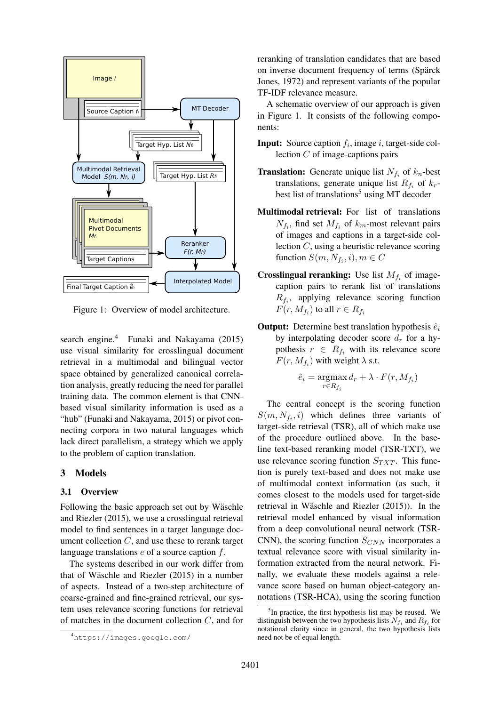

Figure 1: Overview of model architecture.

search engine.<sup>4</sup> Funaki and Nakayama (2015) use visual similarity for crosslingual document retrieval in a multimodal and bilingual vector space obtained by generalized canonical correlation analysis, greatly reducing the need for parallel training data. The common element is that CNNbased visual similarity information is used as a "hub" (Funaki and Nakayama, 2015) or pivot connecting corpora in two natural languages which lack direct parallelism, a strategy which we apply to the problem of caption translation.

# 3 Models

#### 3.1 Overview

Following the basic approach set out by Wäschle and Riezler (2015), we use a crosslingual retrieval model to find sentences in a target language document collection  $C$ , and use these to rerank target language translations e of a source caption f.

The systems described in our work differ from that of Wäschle and Riezler  $(2015)$  in a number of aspects. Instead of a two-step architecture of coarse-grained and fine-grained retrieval, our system uses relevance scoring functions for retrieval of matches in the document collection C, and for reranking of translation candidates that are based on inverse document frequency of terms (Spärck Jones, 1972) and represent variants of the popular TF-IDF relevance measure.

A schematic overview of our approach is given in Figure 1. It consists of the following components:

- **Input:** Source caption  $f_i$ , image i, target-side collection C of image-captions pairs
- **Translation:** Generate unique list  $N_{f_i}$  of  $k_n$ -best translations, generate unique list  $R_{f_i}$  of  $k_r$ best list of translations<sup>5</sup> using MT decoder
- Multimodal retrieval: For list of translations  $N_{f_i}$ , find set  $M_{f_i}$  of  $k_m$ -most relevant pairs of images and captions in a target-side collection C, using a heuristic relevance scoring function  $S(m, N_{f_i}, i), m \in C$
- **Crosslingual reranking:** Use list  $M_{f_i}$  of imagecaption pairs to rerank list of translations  $R_{f_i}$ , applying relevance scoring function  $F(r, M_{f_i})$  to all  $r \in R_{f_i}$
- **Output:** Determine best translation hypothesis  $\hat{e}_i$ by interpolating decoder score  $d_r$  for a hypothesis  $r \in R_{f_i}$  with its relevance score  $F(r, M_{f_i})$  with weight  $\lambda$  s.t.

$$
\hat{e}_i = \operatorname*{argmax}_{r \in R_{f_i}} d_r + \lambda \cdot F(r, M_{f_i})
$$

The central concept is the scoring function  $S(m, N_{f_i}, i)$  which defines three variants of target-side retrieval (TSR), all of which make use of the procedure outlined above. In the baseline text-based reranking model (TSR-TXT), we use relevance scoring function  $S_{TXT}$ . This function is purely text-based and does not make use of multimodal context information (as such, it comes closest to the models used for target-side retrieval in Wäschle and Riezler  $(2015)$ ). In the retrieval model enhanced by visual information from a deep convolutional neural network (TSR-CNN), the scoring function  $S_{CNN}$  incorporates a textual relevance score with visual similarity information extracted from the neural network. Finally, we evaluate these models against a relevance score based on human object-category annotations (TSR-HCA), using the scoring function

<sup>4</sup>https://images.google.com/

<sup>&</sup>lt;sup>5</sup>In practice, the first hypothesis list may be reused. We distinguish between the two hypothesis lists  $N_{f_i}$  and  $R_{f_i}$  for notational clarity since in general, the two hypothesis lists need not be of equal length.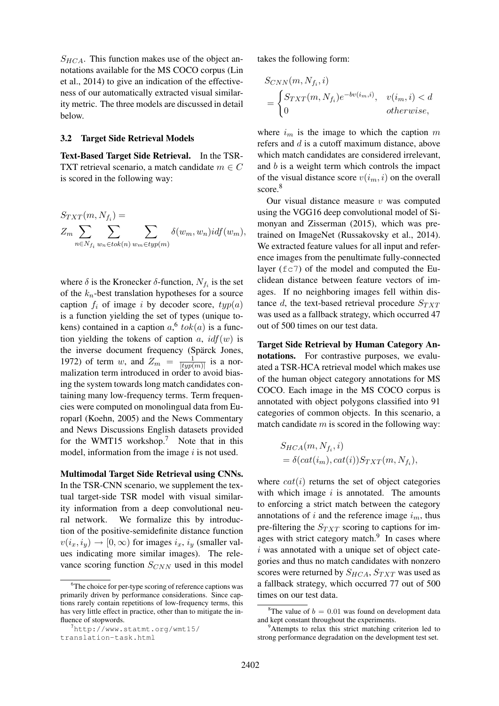$S_{HCA}$ . This function makes use of the object annotations available for the MS COCO corpus (Lin et al., 2014) to give an indication of the effectiveness of our automatically extracted visual similarity metric. The three models are discussed in detail below.

#### 3.2 Target Side Retrieval Models

Text-Based Target Side Retrieval. In the TSR-TXT retrieval scenario, a match candidate  $m \in C$ is scored in the following way:

$$
S_{TXT}(m, N_{f_i}) =
$$
  
\n
$$
Z_m \sum_{n \in N_{f_i}} \sum_{w_n \in tok(n)} \sum_{w_m \in typ(m)} \delta(w_m, w_n) idf(w_m),
$$

where  $\delta$  is the Kronecker  $\delta$ -function,  $N_{f_i}$  is the set of the  $k_n$ -best translation hypotheses for a source caption  $f_i$  of image i by decoder score,  $typ(a)$ is a function yielding the set of types (unique tokens) contained in a caption  $a<sup>6</sup> tok(a)$  is a function yielding the tokens of caption a,  $\mathrm{id} f(w)$  is the inverse document frequency (Spärck Jones, 1972) of term w, and  $Z_m = \frac{1}{|t_{\text{imp}}|}$  $\frac{1}{|typ(m)|}$  is a normalization term introduced in order to avoid biasing the system towards long match candidates containing many low-frequency terms. Term frequencies were computed on monolingual data from Europarl (Koehn, 2005) and the News Commentary and News Discussions English datasets provided for the WMT15 workshop.<sup>7</sup> Note that in this model, information from the image  $i$  is not used.

Multimodal Target Side Retrieval using CNNs. In the TSR-CNN scenario, we supplement the textual target-side TSR model with visual similarity information from a deep convolutional neural network. We formalize this by introduction of the positive-semidefinite distance function  $v(i_x, i_y) \rightarrow [0, \infty)$  for images  $i_x, i_y$  (smaller values indicating more similar images). The relevance scoring function  $S_{CNN}$  used in this model

```
translation-task.html
```
takes the following form:

$$
S_{CNN}(m, N_{f_i}, i)
$$
  
= 
$$
\begin{cases} S_{TXT}(m, N_{f_i})e^{-bv(i_m, i)}, & v(i_m, i) < d \\ 0 & otherwise, \end{cases}
$$

where  $i_m$  is the image to which the caption m refers and d is a cutoff maximum distance, above which match candidates are considered irrelevant, and b is a weight term which controls the impact of the visual distance score  $v(i_m, i)$  on the overall score.<sup>8</sup>

Our visual distance measure  $v$  was computed using the VGG16 deep convolutional model of Simonyan and Zisserman (2015), which was pretrained on ImageNet (Russakovsky et al., 2014). We extracted feature values for all input and reference images from the penultimate fully-connected layer  $(f \circ 7)$  of the model and computed the Euclidean distance between feature vectors of images. If no neighboring images fell within distance d, the text-based retrieval procedure  $S_{TXT}$ was used as a fallback strategy, which occurred 47 out of 500 times on our test data.

Target Side Retrieval by Human Category Annotations. For contrastive purposes, we evaluated a TSR-HCA retrieval model which makes use of the human object category annotations for MS COCO. Each image in the MS COCO corpus is annotated with object polygons classified into 91 categories of common objects. In this scenario, a match candidate  $m$  is scored in the following way:

$$
S_{HCA}(m, N_{f_i}, i)
$$
  
=  $\delta(cat(i_m), cat(i))S_{TXT}(m, N_{f_i}),$ 

where  $cat(i)$  returns the set of object categories with which image  $i$  is annotated. The amounts to enforcing a strict match between the category annotations of i and the reference image  $i_m$ , thus pre-filtering the  $S_{TXT}$  scoring to captions for images with strict category match.<sup>9</sup> In cases where  $i$  was annotated with a unique set of object categories and thus no match candidates with nonzero scores were returned by  $S_{HCA}$ ,  $S_{TXT}$  was used as a fallback strategy, which occurred 77 out of 500 times on our test data.

<sup>&</sup>lt;sup>6</sup>The choice for per-type scoring of reference captions was primarily driven by performance considerations. Since captions rarely contain repetitions of low-frequency terms, this has very little effect in practice, other than to mitigate the influence of stopwords.

<sup>7</sup>http://www.statmt.org/wmt15/

<sup>&</sup>lt;sup>8</sup>The value of  $b = 0.01$  was found on development data and kept constant throughout the experiments.

<sup>&</sup>lt;sup>9</sup>Attempts to relax this strict matching criterion led to strong performance degradation on the development test set.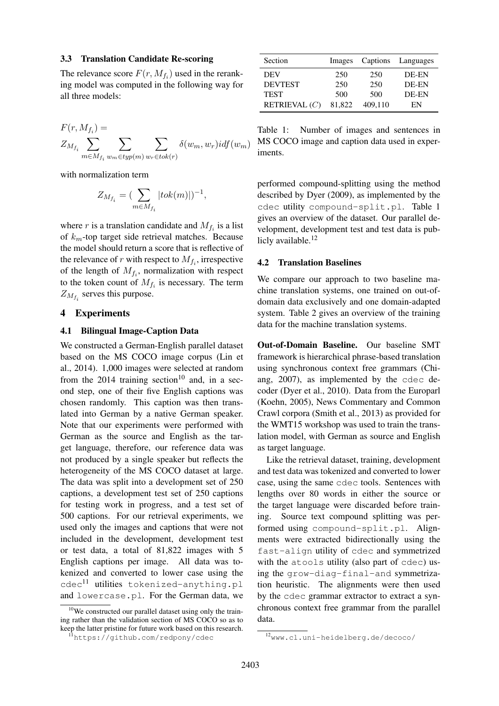### 3.3 Translation Candidate Re-scoring

The relevance score  $F(r, M_{f_i})$  used in the reranking model was computed in the following way for all three models:

$$
F(r, M_{f_i}) =
$$
  

$$
Z_{M_{f_i}} \sum_{m \in M_{f_i}} \sum_{w_m \in typ(m)} \sum_{w_r \in tok(r)} \delta(w_m, w_r) idf(w_m)
$$

with normalization term

$$
Z_{M_{f_i}} = \left(\sum_{m \in M_{f_i}} |tok(m)|\right)^{-1},
$$

where r is a translation candidate and  $M_{f_i}$  is a list of  $k_m$ -top target side retrieval matches. Because the model should return a score that is reflective of the relevance of r with respect to  $M_{f_i}$ , irrespective of the length of  $M_{f_i}$ , normalization with respect to the token count of  $M_{f_i}$  is necessary. The term  $Z_{M_{f_i}}$  serves this purpose.

#### 4 Experiments

#### 4.1 Bilingual Image-Caption Data

We constructed a German-English parallel dataset based on the MS COCO image corpus (Lin et al., 2014). 1,000 images were selected at random from the 2014 training section<sup>10</sup> and, in a second step, one of their five English captions was chosen randomly. This caption was then translated into German by a native German speaker. Note that our experiments were performed with German as the source and English as the target language, therefore, our reference data was not produced by a single speaker but reflects the heterogeneity of the MS COCO dataset at large. The data was split into a development set of 250 captions, a development test set of 250 captions for testing work in progress, and a test set of 500 captions. For our retrieval experiments, we used only the images and captions that were not included in the development, development test or test data, a total of 81,822 images with 5 English captions per image. All data was tokenized and converted to lower case using the  $cdec^{11}$  utilities tokenized-anything.pl and lowercase.pl. For the German data, we

| Section         | Images | Captions | Languages |
|-----------------|--------|----------|-----------|
| <b>DEV</b>      | 250    | 250      | DE-EN     |
| <b>DEVTEST</b>  | 250    | 250      | DE-EN     |
| <b>TEST</b>     | 500    | 500      | DE-EN     |
| RETRIEVAL $(C)$ | 81,822 | 409.110  | EN        |
|                 |        |          |           |

Table 1: Number of images and sentences in MS COCO image and caption data used in experiments.

performed compound-splitting using the method described by Dyer (2009), as implemented by the cdec utility compound-split.pl. Table 1 gives an overview of the dataset. Our parallel development, development test and test data is publicly available.<sup>12</sup>

#### 4.2 Translation Baselines

We compare our approach to two baseline machine translation systems, one trained on out-ofdomain data exclusively and one domain-adapted system. Table 2 gives an overview of the training data for the machine translation systems.

Out-of-Domain Baseline. Our baseline SMT framework is hierarchical phrase-based translation using synchronous context free grammars (Chiang, 2007), as implemented by the cdec decoder (Dyer et al., 2010). Data from the Europarl (Koehn, 2005), News Commentary and Common Crawl corpora (Smith et al., 2013) as provided for the WMT15 workshop was used to train the translation model, with German as source and English as target language.

Like the retrieval dataset, training, development and test data was tokenized and converted to lower case, using the same cdec tools. Sentences with lengths over 80 words in either the source or the target language were discarded before training. Source text compound splitting was performed using compound-split.pl. Alignments were extracted bidirectionally using the fast-align utility of cdec and symmetrized with the atools utility (also part of cdec) using the grow-diag-final-and symmetrization heuristic. The alignments were then used by the cdec grammar extractor to extract a synchronous context free grammar from the parallel data.

 $10$ We constructed our parallel dataset using only the training rather than the validation section of MS COCO so as to keep the latter pristine for future work based on this research.

<sup>11</sup>https://github.com/redpony/cdec

<sup>12</sup>www.cl.uni-heidelberg.de/decoco/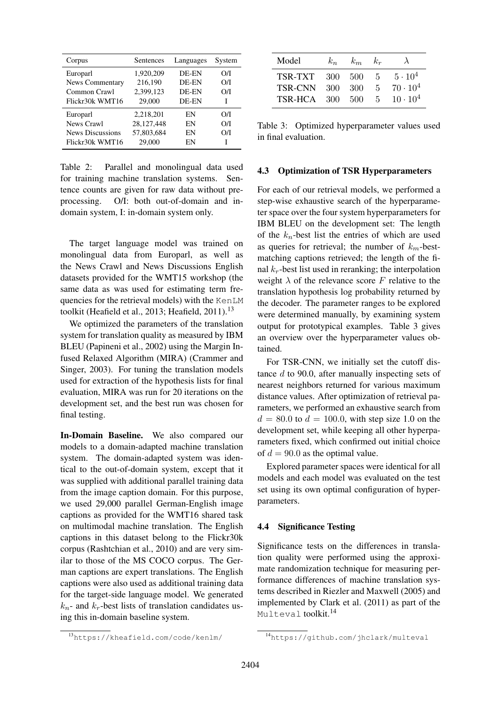| Corpus                  | Sentences  | Languages | System |
|-------------------------|------------|-----------|--------|
| Europarl                | 1,920,209  | DE-EN     | O/I    |
| <b>News Commentary</b>  | 216,190    | DE-EN     | O/I    |
| Common Crawl            | 2,399,123  | DE-EN     | O/I    |
| Flickr30k WMT16         | 29,000     | DE-EN     | I      |
| Europarl                | 2,218,201  | EN        | O/I    |
| News Crawl              | 28,127,448 | EN        | O/I    |
| <b>News Discussions</b> | 57,803,684 | EN        | O/I    |
| Flickr30k WMT16         | 29,000     | EN        | T      |

Table 2: Parallel and monolingual data used for training machine translation systems. Sentence counts are given for raw data without preprocessing. O/I: both out-of-domain and indomain system, I: in-domain system only.

The target language model was trained on monolingual data from Europarl, as well as the News Crawl and News Discussions English datasets provided for the WMT15 workshop (the same data as was used for estimating term frequencies for the retrieval models) with the KenLM toolkit (Heafield et al., 2013; Heafield, 2011).<sup>13</sup>

We optimized the parameters of the translation system for translation quality as measured by IBM BLEU (Papineni et al., 2002) using the Margin Infused Relaxed Algorithm (MIRA) (Crammer and Singer, 2003). For tuning the translation models used for extraction of the hypothesis lists for final evaluation, MIRA was run for 20 iterations on the development set, and the best run was chosen for final testing.

In-Domain Baseline. We also compared our models to a domain-adapted machine translation system. The domain-adapted system was identical to the out-of-domain system, except that it was supplied with additional parallel training data from the image caption domain. For this purpose, we used 29,000 parallel German-English image captions as provided for the WMT16 shared task on multimodal machine translation. The English captions in this dataset belong to the Flickr30k corpus (Rashtchian et al., 2010) and are very similar to those of the MS COCO corpus. The German captions are expert translations. The English captions were also used as additional training data for the target-side language model. We generated  $k_n$ - and  $k_r$ -best lists of translation candidates using this in-domain baseline system.

| Model          | $k_n$ | $k_m$ | $k_r$       | $\lambda$         |
|----------------|-------|-------|-------------|-------------------|
| TSR-TXT        | 300   | -500  | $5^{\circ}$ | $5 \cdot 10^4$    |
| <b>TSR-CNN</b> | 300   | 300   | 5           | $70 \cdot 10^{4}$ |
| TSR-HCA        | 300   | -500  | 5.          | $10 \cdot 10^{4}$ |

Table 3: Optimized hyperparameter values used in final evaluation.

### 4.3 Optimization of TSR Hyperparameters

For each of our retrieval models, we performed a step-wise exhaustive search of the hyperparameter space over the four system hyperparameters for IBM BLEU on the development set: The length of the  $k_n$ -best list the entries of which are used as queries for retrieval; the number of  $k_m$ -bestmatching captions retrieved; the length of the final  $k_r$ -best list used in reranking; the interpolation weight  $\lambda$  of the relevance score F relative to the translation hypothesis log probability returned by the decoder. The parameter ranges to be explored were determined manually, by examining system output for prototypical examples. Table 3 gives an overview over the hyperparameter values obtained.

For TSR-CNN, we initially set the cutoff distance d to 90.0, after manually inspecting sets of nearest neighbors returned for various maximum distance values. After optimization of retrieval parameters, we performed an exhaustive search from  $d = 80.0$  to  $d = 100.0$ , with step size 1.0 on the development set, while keeping all other hyperparameters fixed, which confirmed out initial choice of  $d = 90.0$  as the optimal value.

Explored parameter spaces were identical for all models and each model was evaluated on the test set using its own optimal configuration of hyperparameters.

# 4.4 Significance Testing

Significance tests on the differences in translation quality were performed using the approximate randomization technique for measuring performance differences of machine translation systems described in Riezler and Maxwell (2005) and implemented by Clark et al. (2011) as part of the Multeval toolkit.<sup>14</sup>

<sup>13</sup>https://kheafield.com/code/kenlm/

<sup>14</sup>https://github.com/jhclark/multeval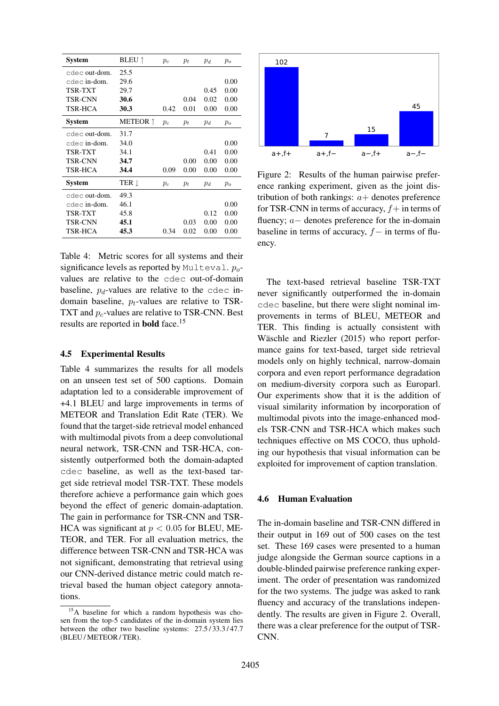| <b>System</b>  | <b>BLEU</b> 1   | $p_c$ | $p_t$ | $p_d$ | $p_o$ |
|----------------|-----------------|-------|-------|-------|-------|
| cdec out-dom.  | 25.5            |       |       |       |       |
| cdec in-dom.   | 29.6            |       |       |       | 0.00  |
| TSR-TXT        | 29.7            |       |       | 0.45  | 0.00  |
| <b>TSR-CNN</b> | 30.6            |       | 0.04  | 0.02  | 0.00  |
| TSR-HCA        | 30.3            | 0.42  | 0.01  | 0.00  | 0.00  |
| <b>System</b>  | <b>METEOR</b> ↑ | $p_c$ | $p_t$ | $p_d$ | $p_o$ |
| cdec out-dom.  | 31.7            |       |       |       |       |
| cdec in-dom.   | 34.0            |       |       |       | 0.00  |
| TSR-TXT        | 34.1            |       |       | 0.41  | 0.00  |
| <b>TSR-CNN</b> | 34.7            |       | 0.00  | 0.00  | 0.00  |
| TSR-HCA        | 34.4            | 0.09  | 0.00  | 0.00  | 0.00  |
| <b>System</b>  | ter 1           | $p_c$ | $p_t$ | $p_d$ | $p_o$ |
| cdec out-dom.  | 49.3            |       |       |       |       |
| cdec in-dom.   | 46.1            |       |       |       | 0.00  |
| TSR-TXT        | 45.8            |       |       | 0.12  | 0.00  |
| <b>TSR-CNN</b> | 45.1            |       | 0.03  | 0.00  | 0.00  |
| <b>TSR-HCA</b> | 45.3            | 0.34  | 0.02  | 0.00  | 0.00  |

Table 4: Metric scores for all systems and their significance levels as reported by Multeval.  $p_o$ values are relative to the cdec out-of-domain baseline,  $p_d$ -values are relative to the cdec indomain baseline,  $p_t$ -values are relative to TSR-TXT and  $p_c$ -values are relative to TSR-CNN. Best results are reported in **bold** face.<sup>15</sup>

### 4.5 Experimental Results

Table 4 summarizes the results for all models on an unseen test set of 500 captions. Domain adaptation led to a considerable improvement of +4.1 BLEU and large improvements in terms of METEOR and Translation Edit Rate (TER). We found that the target-side retrieval model enhanced with multimodal pivots from a deep convolutional neural network, TSR-CNN and TSR-HCA, consistently outperformed both the domain-adapted cdec baseline, as well as the text-based target side retrieval model TSR-TXT. These models therefore achieve a performance gain which goes beyond the effect of generic domain-adaptation. The gain in performance for TSR-CNN and TSR-HCA was significant at  $p < 0.05$  for BLEU, ME-TEOR, and TER. For all evaluation metrics, the difference between TSR-CNN and TSR-HCA was not significant, demonstrating that retrieval using our CNN-derived distance metric could match retrieval based the human object category annotations.



Figure 2: Results of the human pairwise preference ranking experiment, given as the joint distribution of both rankings:  $a+$  denotes preference for TSR-CNN in terms of accuracy,  $f+$  in terms of fluency; a− denotes preference for the in-domain baseline in terms of accuracy,  $f-$  in terms of fluency.

The text-based retrieval baseline TSR-TXT never significantly outperformed the in-domain cdec baseline, but there were slight nominal improvements in terms of BLEU, METEOR and TER. This finding is actually consistent with Wäschle and Riezler (2015) who report performance gains for text-based, target side retrieval models only on highly technical, narrow-domain corpora and even report performance degradation on medium-diversity corpora such as Europarl. Our experiments show that it is the addition of visual similarity information by incorporation of multimodal pivots into the image-enhanced models TSR-CNN and TSR-HCA which makes such techniques effective on MS COCO, thus upholding our hypothesis that visual information can be exploited for improvement of caption translation.

# 4.6 Human Evaluation

The in-domain baseline and TSR-CNN differed in their output in 169 out of 500 cases on the test set. These 169 cases were presented to a human judge alongside the German source captions in a double-blinded pairwise preference ranking experiment. The order of presentation was randomized for the two systems. The judge was asked to rank fluency and accuracy of the translations independently. The results are given in Figure 2. Overall, there was a clear preference for the output of TSR-CNN.

<sup>15</sup>A baseline for which a random hypothesis was chosen from the top-5 candidates of the in-domain system lies between the other two baseline systems: 27.5/33.3/47.7 (BLEU / METEOR / TER).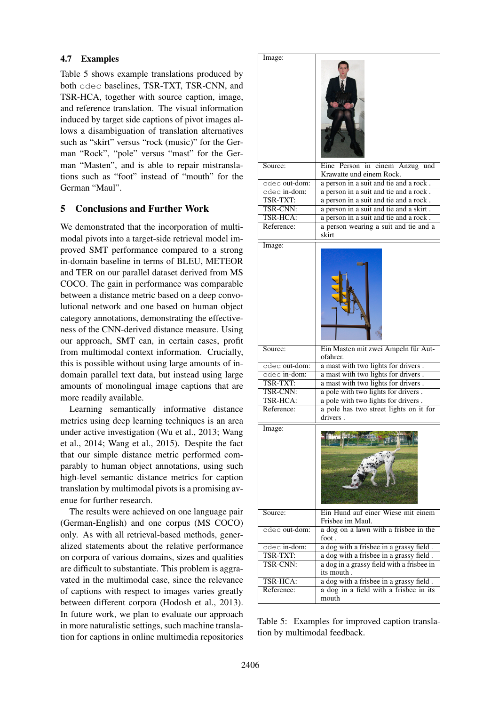# 4.7 Examples

Table 5 shows example translations produced by both cdec baselines, TSR-TXT, TSR-CNN, and TSR-HCA, together with source caption, image, and reference translation. The visual information induced by target side captions of pivot images allows a disambiguation of translation alternatives such as "skirt" versus "rock (music)" for the German "Rock", "pole" versus "mast" for the German "Masten", and is able to repair mistranslations such as "foot" instead of "mouth" for the German "Maul".

# 5 Conclusions and Further Work

We demonstrated that the incorporation of multimodal pivots into a target-side retrieval model improved SMT performance compared to a strong in-domain baseline in terms of BLEU, METEOR and TER on our parallel dataset derived from MS COCO. The gain in performance was comparable between a distance metric based on a deep convolutional network and one based on human object category annotations, demonstrating the effectiveness of the CNN-derived distance measure. Using our approach, SMT can, in certain cases, profit from multimodal context information. Crucially, this is possible without using large amounts of indomain parallel text data, but instead using large amounts of monolingual image captions that are more readily available.

Learning semantically informative distance metrics using deep learning techniques is an area under active investigation (Wu et al., 2013; Wang et al., 2014; Wang et al., 2015). Despite the fact that our simple distance metric performed comparably to human object annotations, using such high-level semantic distance metrics for caption translation by multimodal pivots is a promising avenue for further research.

The results were achieved on one language pair (German-English) and one corpus (MS COCO) only. As with all retrieval-based methods, generalized statements about the relative performance on corpora of various domains, sizes and qualities are difficult to substantiate. This problem is aggravated in the multimodal case, since the relevance of captions with respect to images varies greatly between different corpora (Hodosh et al., 2013). In future work, we plan to evaluate our approach in more naturalistic settings, such machine translation for captions in online multimedia repositories

| Image:                 |                                                                                   |
|------------------------|-----------------------------------------------------------------------------------|
|                        |                                                                                   |
| Source:                | Eine Person in einem Anzug und                                                    |
|                        | Krawatte und einem Rock.                                                          |
| cdec out-dom:          | a person in a suit and tie and a rock.                                            |
| cdec in-dom:           | a person in a suit and tie and a rock.                                            |
| TSR-TXT:<br>TSR-CNN:   | a person in a suit and tie and a rock.                                            |
| TSR-HCA:               | a person in a suit and tie and a skirt.<br>a person in a suit and tie and a rock. |
| Reference:             | a person wearing a suit and tie and a                                             |
|                        | skirt                                                                             |
| Image:                 |                                                                                   |
|                        |                                                                                   |
| Source:                | Ein Masten mit zwei Ampeln für Aut-<br>ofahrer.                                   |
| cdec out-dom:          | a mast with two lights for drivers.                                               |
| cdec in-dom:           | a mast with two lights for drivers.                                               |
| TSR-TXT:               | a mast with two lights for drivers.                                               |
| <b>TSR-CNN:</b>        | a pole with two lights for drivers.                                               |
| TSR-HCA:               | a pole with two lights for drivers.                                               |
| Reference:             | a pole has two street lights on it for<br>drivers.                                |
| Image:                 |                                                                                   |
| Source:                | Ein Hund auf einer Wiese mit einem<br>Frisbee im Maul.                            |
| cdec <b>out-dom:</b>   | a dog on a lawn with a frisbee in the<br>foot.                                    |
| cdec in-dom:           | a dog with a frisbee in a grassy field.                                           |
| TSR-TXT:               | a dog with a frisbee in a grassy field.                                           |
| <b>TSR-CNN:</b>        | a dog in a grassy field with a frisbee in<br>its mouth.                           |
| TSR-HCA:<br>Reference: | a dog with a frisbee in a grassy field.<br>a dog in a field with a frisbee in its |

Table 5: Examples for improved caption translation by multimodal feedback.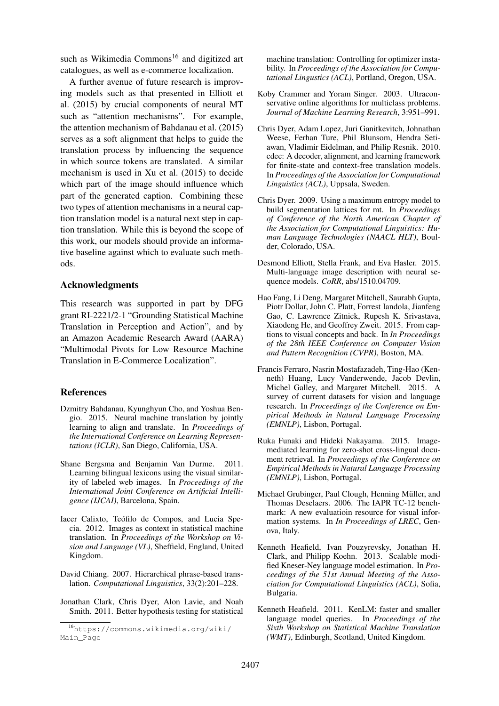such as Wikimedia Commons<sup>16</sup> and digitized art catalogues, as well as e-commerce localization.

A further avenue of future research is improving models such as that presented in Elliott et al. (2015) by crucial components of neural MT such as "attention mechanisms". For example, the attention mechanism of Bahdanau et al. (2015) serves as a soft alignment that helps to guide the translation process by influencing the sequence in which source tokens are translated. A similar mechanism is used in Xu et al. (2015) to decide which part of the image should influence which part of the generated caption. Combining these two types of attention mechanisms in a neural caption translation model is a natural next step in caption translation. While this is beyond the scope of this work, our models should provide an informative baseline against which to evaluate such methods.

#### Acknowledgments

This research was supported in part by DFG grant RI-2221/2-1 "Grounding Statistical Machine Translation in Perception and Action", and by an Amazon Academic Research Award (AARA) "Multimodal Pivots for Low Resource Machine Translation in E-Commerce Localization".

#### **References**

- Dzmitry Bahdanau, Kyunghyun Cho, and Yoshua Bengio. 2015. Neural machine translation by jointly learning to align and translate. In *Proceedings of the International Conference on Learning Representations (ICLR)*, San Diego, California, USA.
- Shane Bergsma and Benjamin Van Durme. 2011. Learning bilingual lexicons using the visual similarity of labeled web images. In *Proceedings of the International Joint Conference on Artificial Intelligence (IJCAI)*, Barcelona, Spain.
- Iacer Calixto, Teófilo de Compos, and Lucia Specia. 2012. Images as context in statistical machine translation. In *Proceedings of the Workshop on Vision and Language (VL)*, Sheffield, England, United Kingdom.
- David Chiang. 2007. Hierarchical phrase-based translation. *Computational Linguistics*, 33(2):201–228.
- Jonathan Clark, Chris Dyer, Alon Lavie, and Noah Smith. 2011. Better hypothesis testing for statistical

machine translation: Controlling for optimizer instability. In *Proceedings of the Association for Computational Lingustics (ACL)*, Portland, Oregon, USA.

- Koby Crammer and Yoram Singer. 2003. Ultraconservative online algorithms for multiclass problems. *Journal of Machine Learning Research*, 3:951–991.
- Chris Dyer, Adam Lopez, Juri Ganitkevitch, Johnathan Weese, Ferhan Ture, Phil Blunsom, Hendra Setiawan, Vladimir Eidelman, and Philip Resnik. 2010. cdec: A decoder, alignment, and learning framework for finite-state and context-free translation models. In *Proceedings of the Association for Computational Linguistics (ACL)*, Uppsala, Sweden.
- Chris Dyer. 2009. Using a maximum entropy model to build segmentation lattices for mt. In *Proceedings of Conference of the North American Chapter of the Association for Computational Linguistics: Human Language Technologies (NAACL HLT)*, Boulder, Colorado, USA.
- Desmond Elliott, Stella Frank, and Eva Hasler. 2015. Multi-language image description with neural sequence models. *CoRR*, abs/1510.04709.
- Hao Fang, Li Deng, Margaret Mitchell, Saurabh Gupta, Piotr Dollar, John C. Platt, Forrest Iandola, Jianfeng Gao, C. Lawrence Zitnick, Rupesh K. Srivastava, Xiaodeng He, and Geoffrey Zweit. 2015. From captions to visual concepts and back. In *In Proceedings of the 28th IEEE Conference on Computer Vision and Pattern Recognition (CVPR)*, Boston, MA.
- Francis Ferraro, Nasrin Mostafazadeh, Ting-Hao (Kenneth) Huang, Lucy Vanderwende, Jacob Devlin, Michel Galley, and Margaret Mitchell. 2015. A survey of current datasets for vision and language research. In *Proceedings of the Conference on Empirical Methods in Natural Language Processing (EMNLP)*, Lisbon, Portugal.
- Ruka Funaki and Hideki Nakayama. 2015. Imagemediated learning for zero-shot cross-lingual document retrieval. In *Proceedings of the Conference on Empirical Methods in Natural Language Processing (EMNLP)*, Lisbon, Portugal.
- Michael Grubinger, Paul Clough, Henning Müller, and Thomas Deselaers. 2006. The IAPR TC-12 benchmark: A new evaluatioin resource for visual information systems. In *In Proceedings of LREC*, Genova, Italy.
- Kenneth Heafield, Ivan Pouzyrevsky, Jonathan H. Clark, and Philipp Koehn. 2013. Scalable modified Kneser-Ney language model estimation. In *Proceedings of the 51st Annual Meeting of the Association for Computational Linguistics (ACL)*, Sofia, Bulgaria.
- Kenneth Heafield. 2011. KenLM: faster and smaller language model queries. In *Proceedings of the Sixth Workshop on Statistical Machine Translation (WMT)*, Edinburgh, Scotland, United Kingdom.

<sup>16</sup>https://commons.wikimedia.org/wiki/ Main\_Page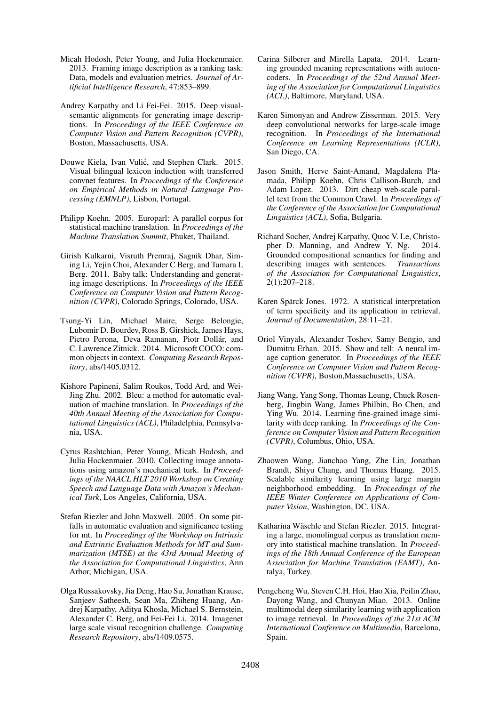- Micah Hodosh, Peter Young, and Julia Hockenmaier. 2013. Framing image description as a ranking task: Data, models and evaluation metrics. *Journal of Artificial Intelligence Research*, 47:853–899.
- Andrey Karpathy and Li Fei-Fei. 2015. Deep visualsemantic alignments for generating image descriptions. In *Proceedings of the IEEE Conference on Computer Vision and Pattern Recognition (CVPR)*, Boston, Massachusetts, USA.
- Douwe Kiela, Ivan Vulić, and Stephen Clark. 2015. Visual bilingual lexicon induction with transferred convnet features. In *Proceedings of the Conference on Empirical Methods in Natural Language Processing (EMNLP)*, Lisbon, Portugal.
- Philipp Koehn. 2005. Europarl: A parallel corpus for statistical machine translation. In *Proceedings of the Machine Translation Summit*, Phuket, Thailand.
- Girish Kulkarni, Visruth Premraj, Sagnik Dhar, Siming Li, Yejin Choi, Alexander C Berg, and Tamara L Berg. 2011. Baby talk: Understanding and generating image descriptions. In *Proceedings of the IEEE Conference on Computer Vision and Pattern Recognition (CVPR)*, Colorado Springs, Colorado, USA.
- Tsung-Yi Lin, Michael Maire, Serge Belongie, Lubomir D. Bourdev, Ross B. Girshick, James Hays, Pietro Perona, Deva Ramanan, Piotr Dollár, and C. Lawrence Zitnick. 2014. Microsoft COCO: common objects in context. *Computing Research Repository*, abs/1405.0312.
- Kishore Papineni, Salim Roukos, Todd Ard, and Wei-Jing Zhu. 2002. Bleu: a method for automatic evaluation of machine translation. In *Proceedings of the 40th Annual Meeting of the Association for Computational Linguistics (ACL)*, Philadelphia, Pennsylvania, USA.
- Cyrus Rashtchian, Peter Young, Micah Hodosh, and Julia Hockenmaier. 2010. Collecting image annotations using amazon's mechanical turk. In *Proceedings of the NAACL HLT 2010 Workshop on Creating Speech and Language Data with Amazon's Mechanical Turk*, Los Angeles, California, USA.
- Stefan Riezler and John Maxwell. 2005. On some pitfalls in automatic evaluation and significance testing for mt. In *Proceedings of the Workshop on Intrinsic and Extrinsic Evaluation Methods for MT and Summarization (MTSE) at the 43rd Annual Meeting of the Association for Computational Linguistics*, Ann Arbor, Michigan, USA.
- Olga Russakovsky, Jia Deng, Hao Su, Jonathan Krause, Sanjeev Satheesh, Sean Ma, Zhiheng Huang, Andrej Karpathy, Aditya Khosla, Michael S. Bernstein, Alexander C. Berg, and Fei-Fei Li. 2014. Imagenet large scale visual recognition challenge. *Computing Research Repository*, abs/1409.0575.
- Carina Silberer and Mirella Lapata. 2014. Learning grounded meaning representations with autoencoders. In *Proceedings of the 52nd Annual Meeting of the Association for Computational Linguistics (ACL)*, Baltimore, Maryland, USA.
- Karen Simonyan and Andrew Zisserman. 2015. Very deep convolutional networks for large-scale image recognition. In *Proceedings of the International Conference on Learning Representations (ICLR)*, San Diego, CA.
- Jason Smith, Herve Saint-Amand, Magdalena Plamada, Philipp Koehn, Chris Callison-Burch, and Adam Lopez. 2013. Dirt cheap web-scale parallel text from the Common Crawl. In *Proceedings of the Conference of the Association for Computational Linguistics (ACL)*, Sofia, Bulgaria.
- Richard Socher, Andrej Karpathy, Quoc V. Le, Christopher D. Manning, and Andrew Y. Ng. 2014. Grounded compositional semantics for finding and describing images with sentences. *Transactions of the Association for Computational Linguistics*, 2(1):207–218.
- Karen Spärck Jones. 1972. A statistical interpretation of term specificity and its application in retrieval. *Journal of Documentation*, 28:11–21.
- Oriol Vinyals, Alexander Toshev, Samy Bengio, and Dumitru Erhan. 2015. Show and tell: A neural image caption generator. In *Proceedings of the IEEE Conference on Computer Vision and Pattern Recognition (CVPR)*, Boston,Massachusetts, USA.
- Jiang Wang, Yang Song, Thomas Leung, Chuck Rosenberg, Jingbin Wang, James Philbin, Bo Chen, and Ying Wu. 2014. Learning fine-grained image similarity with deep ranking. In *Proceedings of the Conference on Computer Vision and Pattern Recognition (CVPR)*, Columbus, Ohio, USA.
- Zhaowen Wang, Jianchao Yang, Zhe Lin, Jonathan Brandt, Shiyu Chang, and Thomas Huang. 2015. Scalable similarity learning using large margin neighborhood embedding. In *Proceedings of the IEEE Winter Conference on Applications of Computer Vision*, Washington, DC, USA.
- Katharina Wäschle and Stefan Riezler. 2015. Integrating a large, monolingual corpus as translation memory into statistical machine translation. In *Proceedings of the 18th Annual Conference of the European Association for Machine Translation (EAMT)*, Antalya, Turkey.
- Pengcheng Wu, Steven C.H. Hoi, Hao Xia, Peilin Zhao, Dayong Wang, and Chunyan Miao. 2013. Online multimodal deep similarity learning with application to image retrieval. In *Proceedings of the 21st ACM International Conference on Multimedia*, Barcelona, Spain.